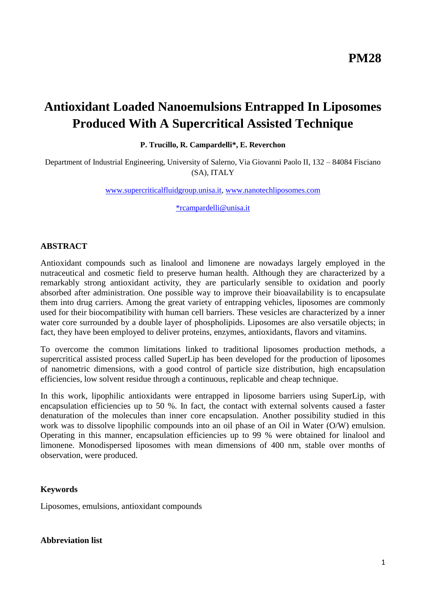# **Antioxidant Loaded Nanoemulsions Entrapped In Liposomes Produced With A Supercritical Assisted Technique**

**P. Trucillo, R. Campardelli\*, E. Reverchon**

Department of Industrial Engineering, University of Salerno, Via Giovanni Paolo II, 132 – 84084 Fisciano (SA), ITALY

[www.supercriticalfluidgroup.unisa.it,](http://www.supercriticalfluidgroup.unisa.it/) [www.nanotechliposomes.com](http://www.nanotechliposomes.com/)

[\\*rcampardelli@unisa.it](mailto:*rcampardelli@unisa.it)

## **ABSTRACT**

Antioxidant compounds such as linalool and limonene are nowadays largely employed in the nutraceutical and cosmetic field to preserve human health. Although they are characterized by a remarkably strong antioxidant activity, they are particularly sensible to oxidation and poorly absorbed after administration. One possible way to improve their bioavailability is to encapsulate them into drug carriers. Among the great variety of entrapping vehicles, liposomes are commonly used for their biocompatibility with human cell barriers. These vesicles are characterized by a inner water core surrounded by a double layer of phospholipids. Liposomes are also versatile objects; in fact, they have been employed to deliver proteins, enzymes, antioxidants, flavors and vitamins.

To overcome the common limitations linked to traditional liposomes production methods, a supercritical assisted process called SuperLip has been developed for the production of liposomes of nanometric dimensions, with a good control of particle size distribution, high encapsulation efficiencies, low solvent residue through a continuous, replicable and cheap technique.

In this work, lipophilic antioxidants were entrapped in liposome barriers using SuperLip, with encapsulation efficiencies up to 50 %. In fact, the contact with external solvents caused a faster denaturation of the molecules than inner core encapsulation. Another possibility studied in this work was to dissolve lipophilic compounds into an oil phase of an Oil in Water (O/W) emulsion. Operating in this manner, encapsulation efficiencies up to 99 % were obtained for linalool and limonene. Monodispersed liposomes with mean dimensions of 400 nm, stable over months of observation, were produced.

## **Keywords**

Liposomes, emulsions, antioxidant compounds

## **Abbreviation list**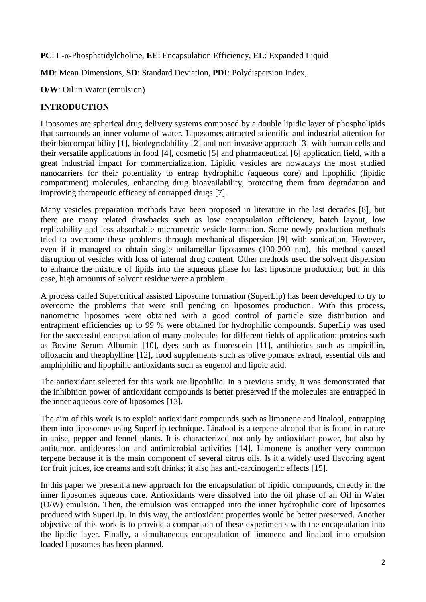**PC**: L-α-Phosphatidylcholine, **EE**: Encapsulation Efficiency, **EL**: Expanded Liquid

**MD**: Mean Dimensions, **SD**: Standard Deviation, **PDI**: Polydispersion Index,

**O/W**: Oil in Water (emulsion)

# **INTRODUCTION**

Liposomes are spherical drug delivery systems composed by a double lipidic layer of phospholipids that surrounds an inner volume of water. Liposomes attracted scientific and industrial attention for their biocompatibility [\[1\]](#page-6-0), biodegradability [\[2\]](#page-6-1) and non-invasive approach [\[3\]](#page-6-2) with human cells and their versatile applications in food [\[4\]](#page-6-3), cosmetic [\[5\]](#page-6-4) and pharmaceutical [\[6\]](#page-6-5) application field, with a great industrial impact for commercialization. Lipidic vesicles are nowadays the most studied nanocarriers for their potentiality to entrap hydrophilic (aqueous core) and lipophilic (lipidic compartment) molecules, enhancing drug bioavailability, protecting them from degradation and improving therapeutic efficacy of entrapped drugs [\[7\]](#page-7-0).

Many vesicles preparation methods have been proposed in literature in the last decades [\[8\]](#page-7-1), but there are many related drawbacks such as low encapsulation efficiency, batch layout, low replicability and less absorbable micrometric vesicle formation. Some newly production methods tried to overcome these problems through mechanical dispersion [\[9\]](#page-7-2) with sonication. However, even if it managed to obtain single unilamellar liposomes (100-200 nm), this method caused disruption of vesicles with loss of internal drug content. Other methods used the solvent dispersion to enhance the mixture of lipids into the aqueous phase for fast liposome production; but, in this case, high amounts of solvent residue were a problem.

A process called Supercritical assisted Liposome formation (SuperLip) has been developed to try to overcome the problems that were still pending on liposomes production. With this process, nanometric liposomes were obtained with a good control of particle size distribution and entrapment efficiencies up to 99 % were obtained for hydrophilic compounds. SuperLip was used for the successful encapsulation of many molecules for different fields of application: proteins such as Bovine Serum Albumin [\[10\]](#page-7-3), dyes such as fluorescein [\[11\]](#page-7-4), antibiotics such as ampicillin, ofloxacin and theophylline [\[12\]](#page-7-5), food supplements such as olive pomace extract, essential oils and amphiphilic and lipophilic antioxidants such as eugenol and lipoic acid.

The antioxidant selected for this work are lipophilic. In a previous study, it was demonstrated that the inhibition power of antioxidant compounds is better preserved if the molecules are entrapped in the inner aqueous core of liposomes [\[13\]](#page-7-6).

The aim of this work is to exploit antioxidant compounds such as limonene and linalool, entrapping them into liposomes using SuperLip technique. Linalool is a terpene alcohol that is found in nature in anise, pepper and fennel plants. It is characterized not only by antioxidant power, but also by antitumor, antidepression and antimicrobial activities [\[14\]](#page-7-7). Limonene is another very common terpene because it is the main component of several citrus oils. Is it a widely used flavoring agent for fruit juices, ice creams and soft drinks; it also has anti-carcinogenic effects [\[15\]](#page-7-8).

In this paper we present a new approach for the encapsulation of lipidic compounds, directly in the inner liposomes aqueous core. Antioxidants were dissolved into the oil phase of an Oil in Water (O/W) emulsion. Then, the emulsion was entrapped into the inner hydrophilic core of liposomes produced with SuperLip. In this way, the antioxidant properties would be better preserved. Another objective of this work is to provide a comparison of these experiments with the encapsulation into the lipidic layer. Finally, a simultaneous encapsulation of limonene and linalool into emulsion loaded liposomes has been planned.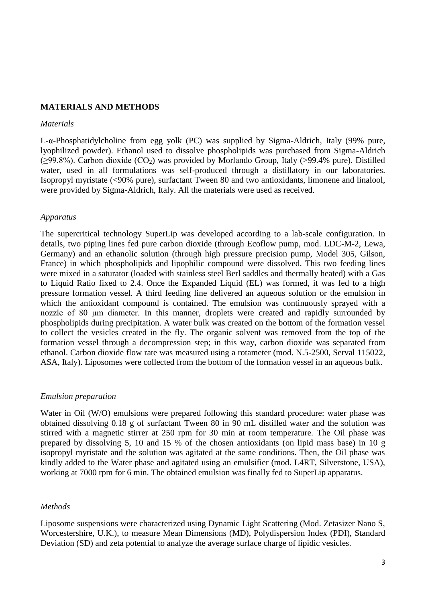### **MATERIALS AND METHODS**

#### *Materials*

L-α-Phosphatidylcholine from egg yolk (PC) was supplied by Sigma-Aldrich, Italy (99% pure, lyophilized powder). Ethanol used to dissolve phospholipids was purchased from Sigma-Aldrich  $(\geq 99.8\%)$ . Carbon dioxide (CO<sub>2</sub>) was provided by Morlando Group, Italy (>99.4% pure). Distilled water, used in all formulations was self-produced through a distillatory in our laboratories. Isopropyl myristate (<90% pure), surfactant Tween 80 and two antioxidants, limonene and linalool, were provided by Sigma-Aldrich, Italy. All the materials were used as received.

#### *Apparatus*

The supercritical technology SuperLip was developed according to a lab-scale configuration. In details, two piping lines fed pure carbon dioxide (through Ecoflow pump, mod. LDC-M-2, Lewa, Germany) and an ethanolic solution (through high pressure precision pump, Model 305, Gilson, France) in which phospholipids and lipophilic compound were dissolved. This two feeding lines were mixed in a saturator (loaded with stainless steel Berl saddles and thermally heated) with a Gas to Liquid Ratio fixed to 2.4. Once the Expanded Liquid (EL) was formed, it was fed to a high pressure formation vessel. A third feeding line delivered an aqueous solution or the emulsion in which the antioxidant compound is contained. The emulsion was continuously sprayed with a nozzle of 80 μm diameter. In this manner, droplets were created and rapidly surrounded by phospholipids during precipitation. A water bulk was created on the bottom of the formation vessel to collect the vesicles created in the fly. The organic solvent was removed from the top of the formation vessel through a decompression step; in this way, carbon dioxide was separated from ethanol. Carbon dioxide flow rate was measured using a rotameter (mod. N.5-2500, Serval 115022, ASA, Italy). Liposomes were collected from the bottom of the formation vessel in an aqueous bulk.

## *Emulsion preparation*

Water in Oil (W/O) emulsions were prepared following this standard procedure: water phase was obtained dissolving 0.18 g of surfactant Tween 80 in 90 mL distilled water and the solution was stirred with a magnetic stirrer at 250 rpm for 30 min at room temperature. The Oil phase was prepared by dissolving 5, 10 and 15 % of the chosen antioxidants (on lipid mass base) in 10 g isopropyl myristate and the solution was agitated at the same conditions. Then, the Oil phase was kindly added to the Water phase and agitated using an emulsifier (mod. L4RT, Silverstone, USA), working at 7000 rpm for 6 min. The obtained emulsion was finally fed to SuperLip apparatus.

#### *Methods*

Liposome suspensions were characterized using Dynamic Light Scattering (Mod. Zetasizer Nano S, Worcestershire, U.K.), to measure Mean Dimensions (MD), Polydispersion Index (PDI), Standard Deviation (SD) and zeta potential to analyze the average surface charge of lipidic vesicles.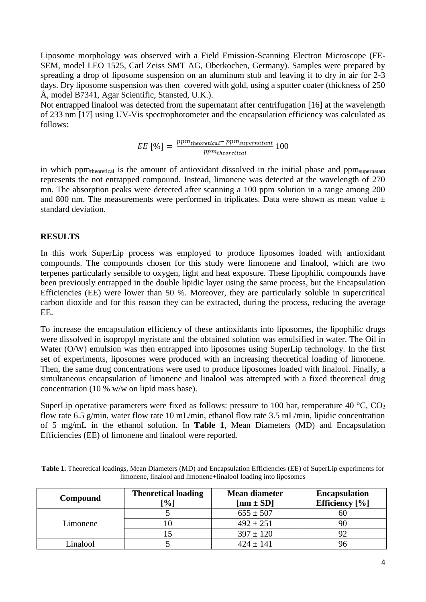Liposome morphology was observed with a Field Emission-Scanning Electron Microscope (FE-SEM, model LEO 1525, Carl Zeiss SMT AG, Oberkochen, Germany). Samples were prepared by spreading a drop of liposome suspension on an aluminum stub and leaving it to dry in air for 2-3 days. Dry liposome suspension was then covered with gold, using a sputter coater (thickness of 250) Å, model B7341, Agar Scientific, Stansted, U.K.).

Not entrapped linalool was detected from the supernatant after centrifugation [\[16\]](#page-7-9) at the wavelength of 233 nm [\[17\]](#page-7-10) using UV-Vis spectrophotometer and the encapsulation efficiency was calculated as follows:

$$
EE \, [\%] = \frac{ppm_{theoretical} - ppm_{supernatant}}{ppm_{theoretical}} \, 100
$$

in which ppm<sub>theoretical</sub> is the amount of antioxidant dissolved in the initial phase and ppm<sub>supernatant</sub> represents the not entrapped compound. Instead, limonene was detected at the wavelength of 270 mn. The absorption peaks were detected after scanning a 100 ppm solution in a range among 200 and 800 nm. The measurements were performed in triplicates. Data were shown as mean value  $\pm$ standard deviation.

## **RESULTS**

In this work SuperLip process was employed to produce liposomes loaded with antioxidant compounds. The compounds chosen for this study were limonene and linalool, which are two terpenes particularly sensible to oxygen, light and heat exposure. These lipophilic compounds have been previously entrapped in the double lipidic layer using the same process, but the Encapsulation Efficiencies (EE) were lower than 50 %. Moreover, they are particularly soluble in supercritical carbon dioxide and for this reason they can be extracted, during the process, reducing the average EE.

To increase the encapsulation efficiency of these antioxidants into liposomes, the lipophilic drugs were dissolved in isopropyl myristate and the obtained solution was emulsified in water. The Oil in Water (O/W) emulsion was then entrapped into liposomes using SuperLip technology. In the first set of experiments, liposomes were produced with an increasing theoretical loading of limonene. Then, the same drug concentrations were used to produce liposomes loaded with linalool. Finally, a simultaneous encapsulation of limonene and linalool was attempted with a fixed theoretical drug concentration (10 % w/w on lipid mass base).

SuperLip operative parameters were fixed as follows: pressure to 100 bar, temperature 40 °C, CO<sub>2</sub> flow rate 6.5 g/min, water flow rate 10 mL/min, ethanol flow rate 3.5 mL/min, lipidic concentration of 5 mg/mL in the ethanol solution. In **Table 1**, Mean Diameters (MD) and Encapsulation Efficiencies (EE) of limonene and linalool were reported.

| Compound | <b>Theoretical loading</b><br><sup>-%]</sup> | <b>Mean diameter</b><br>$[nm \pm SD]$ | <b>Encapsulation</b><br>Efficiency [%] |
|----------|----------------------------------------------|---------------------------------------|----------------------------------------|
| Limonene |                                              | $655 \pm 507$                         |                                        |
|          |                                              | $492 \pm 251$                         |                                        |
|          |                                              | $397 \pm 120$                         |                                        |
| Linalool |                                              | $424 \pm 141$                         |                                        |

**Table 1.** Theoretical loadings, Mean Diameters (MD) and Encapsulation Efficiencies (EE) of SuperLip experiments for limonene, linalool and limonene+linalool loading into liposomes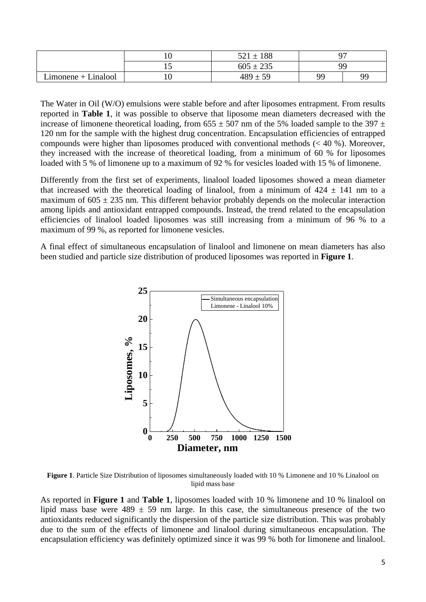|                                    |    | 188<br>$521 \pm$ | ∩冖 |    |
|------------------------------------|----|------------------|----|----|
|                                    | ⊥ັ | $605 \pm 235$    | ۵O |    |
| Linalool<br>$L$ imonene + $\prime$ | ıυ | 489<br>50        | QQ | QС |

The Water in Oil (W/O) emulsions were stable before and after liposomes entrapment. From results reported in **Table 1**, it was possible to observe that liposome mean diameters decreased with the increase of limonene theoretical loading, from  $655 \pm 507$  nm of the 5% loaded sample to the 397  $\pm$ 120 nm for the sample with the highest drug concentration. Encapsulation efficiencies of entrapped compounds were higher than liposomes produced with conventional methods  $\ll 40$  %). Moreover, they increased with the increase of theoretical loading, from a minimum of 60 % for liposomes loaded with 5 % of limonene up to a maximum of 92 % for vesicles loaded with 15 % of limonene.

Differently from the first set of experiments, linalool loaded liposomes showed a mean diameter that increased with the theoretical loading of linalool, from a minimum of  $424 \pm 141$  nm to a maximum of  $605 \pm 235$  nm. This different behavior probably depends on the molecular interaction among lipids and antioxidant entrapped compounds. Instead, the trend related to the encapsulation efficiencies of linalool loaded liposomes was still increasing from a minimum of 96 % to a maximum of 99 %, as reported for limonene vesicles.

A final effect of simultaneous encapsulation of linalool and limonene on mean diameters has also been studied and particle size distribution of produced liposomes was reported in **Figure 1**.



**Figure 1**. Particle Size Distribution of liposomes simultaneously loaded with 10 % Limonene and 10 % Linalool on lipid mass base

As reported in **Figure 1** and **Table 1**, liposomes loaded with 10 % limonene and 10 % linalool on lipid mass base were  $489 \pm 59$  nm large. In this case, the simultaneous presence of the two antioxidants reduced significantly the dispersion of the particle size distribution. This was probably due to the sum of the effects of limonene and linalool during simultaneous encapsulation. The encapsulation efficiency was definitely optimized since it was 99 % both for limonene and linalool.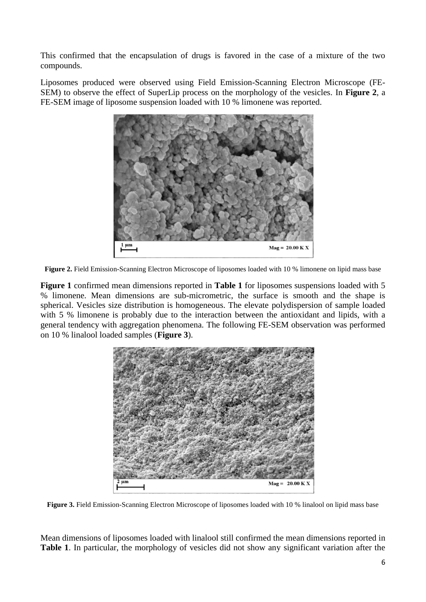This confirmed that the encapsulation of drugs is favored in the case of a mixture of the two compounds.

Liposomes produced were observed using Field Emission-Scanning Electron Microscope (FE-SEM) to observe the effect of SuperLip process on the morphology of the vesicles. In **Figure 2**, a FE-SEM image of liposome suspension loaded with 10 % limonene was reported.



**Figure 2.** Field Emission-Scanning Electron Microscope of liposomes loaded with 10 % limonene on lipid mass base

**Figure 1** confirmed mean dimensions reported in **Table 1** for liposomes suspensions loaded with 5 % limonene. Mean dimensions are sub-micrometric, the surface is smooth and the shape is spherical. Vesicles size distribution is homogeneous. The elevate polydispersion of sample loaded with 5 % limonene is probably due to the interaction between the antioxidant and lipids, with a general tendency with aggregation phenomena. The following FE-SEM observation was performed on 10 % linalool loaded samples (**Figure 3**).



**Figure 3.** Field Emission-Scanning Electron Microscope of liposomes loaded with 10 % linalool on lipid mass base

Mean dimensions of liposomes loaded with linalool still confirmed the mean dimensions reported in **Table 1**. In particular, the morphology of vesicles did not show any significant variation after the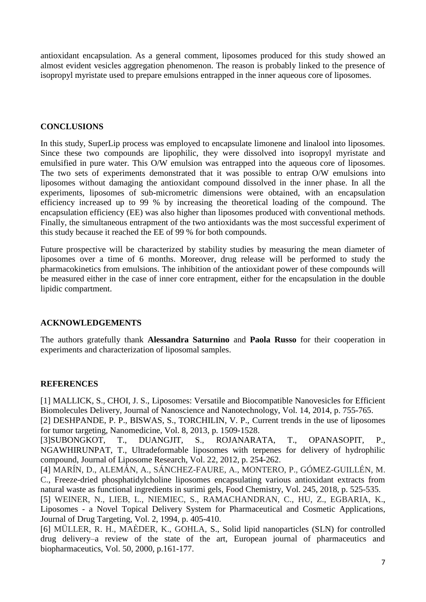antioxidant encapsulation. As a general comment, liposomes produced for this study showed an almost evident vesicles aggregation phenomenon. The reason is probably linked to the presence of isopropyl myristate used to prepare emulsions entrapped in the inner aqueous core of liposomes.

# **CONCLUSIONS**

In this study, SuperLip process was employed to encapsulate limonene and linalool into liposomes. Since these two compounds are lipophilic, they were dissolved into isopropyl myristate and emulsified in pure water. This O/W emulsion was entrapped into the aqueous core of liposomes. The two sets of experiments demonstrated that it was possible to entrap O/W emulsions into liposomes without damaging the antioxidant compound dissolved in the inner phase. In all the experiments, liposomes of sub-micrometric dimensions were obtained, with an encapsulation efficiency increased up to 99 % by increasing the theoretical loading of the compound. The encapsulation efficiency (EE) was also higher than liposomes produced with conventional methods. Finally, the simultaneous entrapment of the two antioxidants was the most successful experiment of this study because it reached the EE of 99 % for both compounds.

Future prospective will be characterized by stability studies by measuring the mean diameter of liposomes over a time of 6 months. Moreover, drug release will be performed to study the pharmacokinetics from emulsions. The inhibition of the antioxidant power of these compounds will be measured either in the case of inner core entrapment, either for the encapsulation in the double lipidic compartment.

# **ACKNOWLEDGEMENTS**

The authors gratefully thank **Alessandra Saturnino** and **Paola Russo** for their cooperation in experiments and characterization of liposomal samples.

# **REFERENCES**

<span id="page-6-0"></span>[1] MALLICK, S., CHOI, J. S., Liposomes: Versatile and Biocompatible Nanovesicles for Efficient Biomolecules Delivery, Journal of Nanoscience and Nanotechnology, Vol. 14, 2014, p. 755-765.

<span id="page-6-1"></span>[2] DESHPANDE, P. P., BISWAS, S., TORCHILIN, V. P., Current trends in the use of liposomes for tumor targeting, Nanomedicine, Vol. 8, 2013, p. 1509-1528.

<span id="page-6-2"></span>[3]SUBONGKOT, T., DUANGJIT, S., ROJANARATA, T., OPANASOPIT, P., NGAWHIRUNPAT, T., Ultradeformable liposomes with terpenes for delivery of hydrophilic compound, Journal of Liposome Research, Vol. 22, 2012, p. 254-262.

<span id="page-6-3"></span>[4] MARÍN, D., ALEMÁN, A., SÁNCHEZ-FAURE, A., MONTERO, P., GÓMEZ-GUILLÉN, M. C., Freeze-dried phosphatidylcholine liposomes encapsulating various antioxidant extracts from natural waste as functional ingredients in surimi gels, Food Chemistry, Vol. 245, 2018, p. 525-535.

<span id="page-6-4"></span>[5] WEINER, N., LIEB, L., NIEMIEC, S., RAMACHANDRAN, C., HU, Z., EGBARIA, K., Liposomes - a Novel Topical Delivery System for Pharmaceutical and Cosmetic Applications, Journal of Drug Targeting, Vol. 2, 1994, p. 405-410.

<span id="page-6-5"></span>[6] MÜLLER, R. H., MAÈDER, K., GOHLA, S., Solid lipid nanoparticles (SLN) for controlled drug delivery–a review of the state of the art, European journal of pharmaceutics and biopharmaceutics, Vol. 50, 2000, p.161-177.